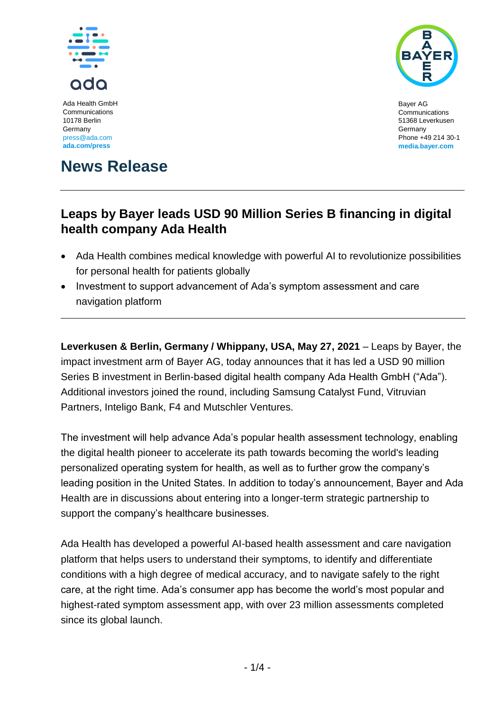

Ada Health GmbH Communications 10178 Berlin Germany [press@ada.com](mailto:press@ada.com) **ada.com/press**



Bayer AG Communications 51368 Leverkusen Germany Phone +49 214 30-1 **[media.bayer.com](http://media.bayer.com/)**

# **News Release**

## **Leaps by Bayer leads USD 90 Million Series B financing in digital health company Ada Health**

- Ada Health combines medical knowledge with powerful AI to revolutionize possibilities for personal health for patients globally
- Investment to support advancement of Ada's symptom assessment and care navigation platform

**Leverkusen & Berlin, Germany / Whippany, USA, May 27, 2021** – Leaps by Bayer, the impact investment arm of Bayer AG, today announces that it has led a USD 90 million Series B investment in Berlin-based digital health company Ada Health GmbH ("Ada"). Additional investors joined the round, including Samsung Catalyst Fund, Vitruvian Partners, Inteligo Bank, F4 and Mutschler Ventures.

The investment will help advance Ada's popular health assessment technology, enabling the digital health pioneer to accelerate its path towards becoming the world's leading personalized operating system for health, as well as to further grow the company's leading position in the United States. In addition to today's announcement, Bayer and Ada Health are in discussions about entering into a longer-term strategic partnership to support the company's healthcare businesses.

Ada Health has developed a powerful AI-based health assessment and care navigation platform that helps users to understand their symptoms, to identify and differentiate conditions with a high degree of medical accuracy, and to navigate safely to the right care, at the right time. Ada's consumer app has become the world's most popular and highest-rated symptom assessment app, with over 23 million assessments completed since its global launch.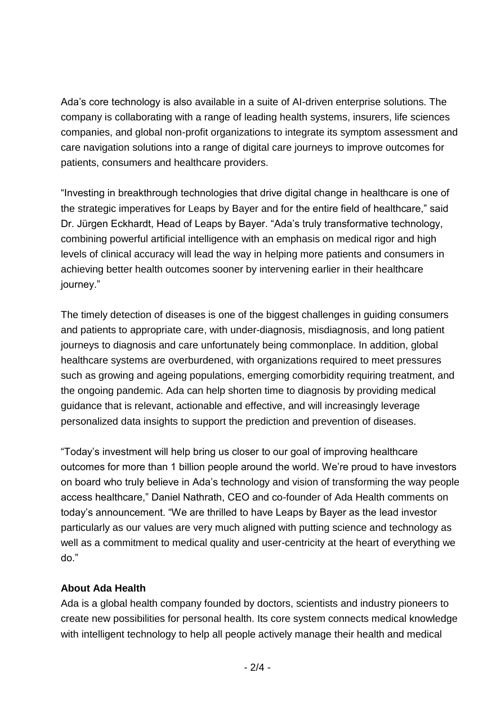Ada's core technology is also available in a suite of AI-driven enterprise solutions. The company is collaborating with a range of leading health systems, insurers, life sciences companies, and global non-profit organizations to integrate its symptom assessment and care navigation solutions into a range of digital care journeys to improve outcomes for patients, consumers and healthcare providers.

"Investing in breakthrough technologies that drive digital change in healthcare is one of the strategic imperatives for Leaps by Bayer and for the entire field of healthcare," said Dr. Jürgen Eckhardt, Head of Leaps by Bayer. "Ada's truly transformative technology, combining powerful artificial intelligence with an emphasis on medical rigor and high levels of clinical accuracy will lead the way in helping more patients and consumers in achieving better health outcomes sooner by intervening earlier in their healthcare journey."

The timely detection of diseases is one of the biggest challenges in guiding consumers and patients to appropriate care, with under-diagnosis, misdiagnosis, and long patient journeys to diagnosis and care unfortunately being commonplace. In addition, global healthcare systems are overburdened, with organizations required to meet pressures such as growing and ageing populations, emerging comorbidity requiring treatment, and the ongoing pandemic. Ada can help shorten time to diagnosis by providing medical guidance that is relevant, actionable and effective, and will increasingly leverage personalized data insights to support the prediction and prevention of diseases.

"Today's investment will help bring us closer to our goal of improving healthcare outcomes for more than 1 billion people around the world. We're proud to have investors on board who truly believe in Ada's technology and vision of transforming the way people access healthcare," Daniel Nathrath, CEO and co-founder of Ada Health comments on today's announcement. "We are thrilled to have Leaps by Bayer as the lead investor particularly as our values are very much aligned with putting science and technology as well as a commitment to medical quality and user-centricity at the heart of everything we do."

### **About Ada Health**

Ada is a global health company founded by doctors, scientists and industry pioneers to create new possibilities for personal health. Its core system connects medical knowledge with intelligent technology to help all people actively manage their health and medical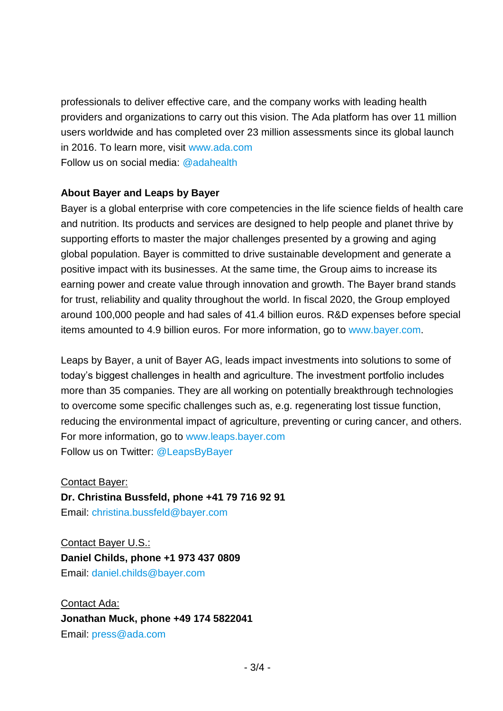professionals to deliver effective care, and the company works with leading health providers and organizations to carry out this vision. The Ada platform has over 11 million users worldwide and has completed over 23 million assessments since its global launch in 2016. To learn more, visit [www.ada.com](http://www.ada.com/) Follow us on social media: [@adahealth](https://twitter.com/adahealth?lang=de)

#### **About Bayer and Leaps by Bayer**

Bayer is a global enterprise with core competencies in the life science fields of health care and nutrition. Its products and services are designed to help people and planet thrive by supporting efforts to master the major challenges presented by a growing and aging global population. Bayer is committed to drive sustainable development and generate a positive impact with its businesses. At the same time, the Group aims to increase its earning power and create value through innovation and growth. The Bayer brand stands for trust, reliability and quality throughout the world. In fiscal 2020, the Group employed around 100,000 people and had sales of 41.4 billion euros. R&D expenses before special items amounted to 4.9 billion euros. For more information, go to [www.bayer.com.](http://www.bayer.com/)

Leaps by Bayer, a unit of Bayer AG, leads impact investments into solutions to some of today's biggest challenges in health and agriculture. The investment portfolio includes more than 35 companies. They are all working on potentially breakthrough technologies to overcome some specific challenges such as, e.g. regenerating lost tissue function, reducing the environmental impact of agriculture, preventing or curing cancer, and others. For more information, go to [www.leaps.bayer.com](http://www.leaps.bayer.com/) Follow us on Twitter: [@LeapsByBayer](https://twitter.com/leapsbybayer?lang=de)

Contact Bayer:

**Dr. Christina Bussfeld, phone +41 79 716 92 91**

Email: [christina.bussfeld@bayer.com](mailto:christina.bussfeld@bayer.com)

Contact Bayer U.S.: **Daniel Childs, phone +1 973 437 0809** Email: [daniel.childs@bayer.com](mailto:daniel.childs@bayer.com)

Contact Ada: **Jonathan Muck, phone +49 174 5822041** Email: [press@ada.com](mailto:press@ada.com)